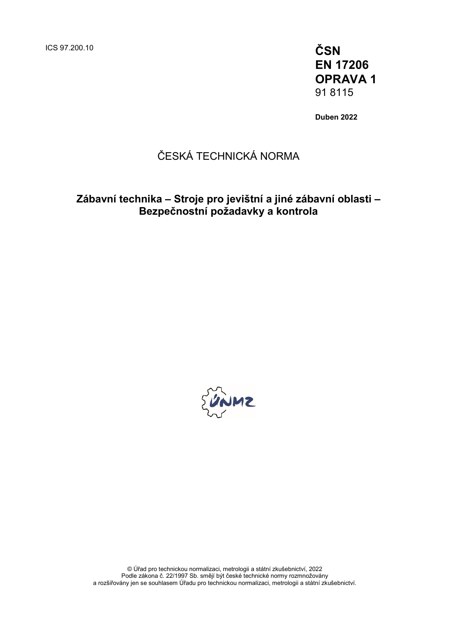ICS 97.200.10 **ČSN**

**EN 17206 OPRAVA 1** 91 8115

**Duben 2022**

## ČESKÁ TECHNICKÁ NORMA

## **Zábavní technika – Stroje pro jevištní a jiné zábavní oblasti – Bezpečnostní požadavky a kontrola**



© Úřad pro technickou normalizaci, metrologii a státní zkušebnictví, 2022 Podle zákona č. 22/1997 Sb. smějí být české technické normy rozmnožovány a rozšiřovány jen se souhlasem Úřadu pro technickou normalizaci, metrologii a státní zkušebnictví.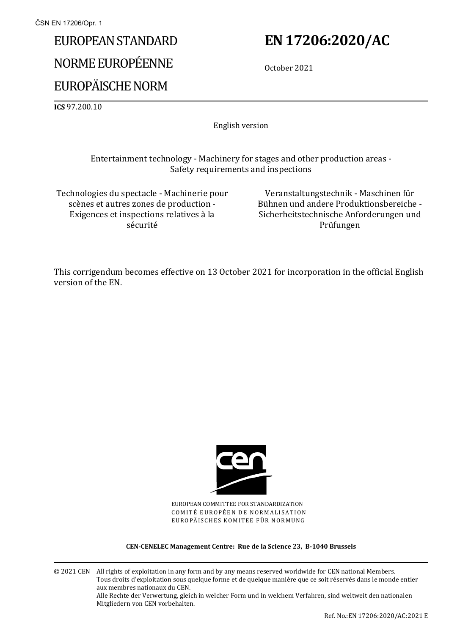# EUROPEAN STANDARD NORME EUROPÉENNE EUROPÄISCHE NORM

## **EN 17206:2020/AC**

October 2021

**ICS** 97.200.10

English version

Entertainment technology - Machinery for stages and other production areas - Safety requirements and inspections

Technologies du spectacle - Machinerie pour scènes et autres zones de production - Exigences et inspections relatives à la sécurité

Veranstaltungstechnik - Maschinen für Bühnen und andere Produktionsbereiche - Sicherheitstechnische Anforderungen und Prüfungen

This corrigendum becomes effective on 13 October 2021 for incorporation in the official English version of the EN.



EUROPEAN COMMITTEE FOR STANDARDIZATION COMITÉ EUROPÉEN DE NORMALISATION EUROPÄISCHES KOMITEE FÜR NORMUNG

**CEN-CENELEC Management Centre: Rue de la Science 23, B-1040 Brussels**

© 2021 CEN All rights of exploitation in any form and by any means reserved worldwide for CEN national Members. Tous droits d'exploitation sous quelque forme et de quelque manière que ce soit réservés dans le monde entier aux membres nationaux du CEN. Alle Rechte der Verwertung, gleich in welcher Form und in welchem Verfahren, sind weltweit den nationalen Mitgliedern von CEN vorbehalten.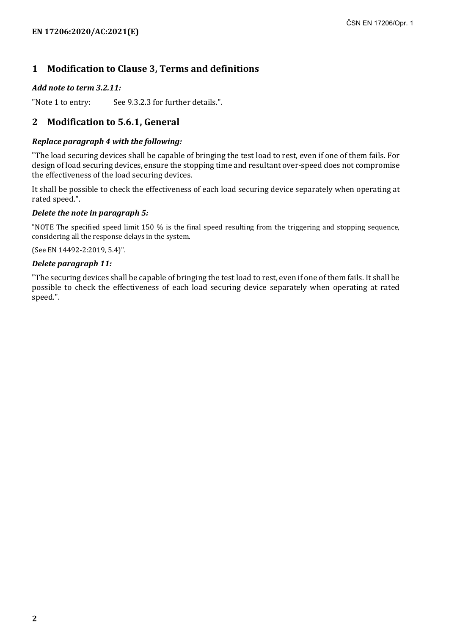## **1 Modification to Clause 3, Terms and definitions**

#### *Add note to term 3.2.11:*

"Note 1 to entry: See 9.3.2.3 for further details.".

### **2 Modification to 5.6.1, General**

#### *Replace paragraph 4 with the following:*

"The load securing devices shall be capable of bringing the test load to rest, even if one of them fails. For design of load securing devices, ensure the stopping time and resultant over-speed does not compromise the effectiveness of the load securing devices.

It shall be possible to check the effectiveness of each load securing device separately when operating at rated speed.".

#### *Delete the note in paragraph 5:*

"NOTE The specified speed limit 150 % is the final speed resulting from the triggering and stopping sequence, considering all the response delays in the system.

(See EN 14492-2:2019, 5.4)".

#### *Delete paragraph 11:*

"The securing devices shall be capable of bringing the test load to rest, even if one of them fails. It shall be possible to check the effectiveness of each load securing device separately when operating at rated speed.".